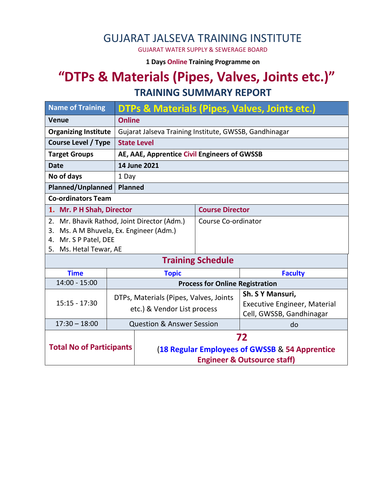### GUJARAT JALSEVA TRAINING INSTITUTE

GUJARAT WATER SUPPLY & SEWERAGE BOARD

**1 Days Online Training Programme on** 

# **"DTPs & Materials (Pipes, Valves, Joints etc.)" TRAINING SUMMARY REPORT**

| <b>Name of Training</b>                        | <b>DTPs &amp; Materials (Pipes, Valves, Joints etc.)</b> |                                                |                          |                                     |  |  |
|------------------------------------------------|----------------------------------------------------------|------------------------------------------------|--------------------------|-------------------------------------|--|--|
| <b>Venue</b>                                   | <b>Online</b>                                            |                                                |                          |                                     |  |  |
| <b>Organizing Institute</b>                    | Gujarat Jalseva Training Institute, GWSSB, Gandhinagar   |                                                |                          |                                     |  |  |
| <b>Course Level / Type</b>                     | <b>State Level</b>                                       |                                                |                          |                                     |  |  |
| <b>Target Groups</b>                           | AE, AAE, Apprentice Civil Engineers of GWSSB             |                                                |                          |                                     |  |  |
| 14 June 2021<br><b>Date</b>                    |                                                          |                                                |                          |                                     |  |  |
| No of days                                     | 1 Day                                                    |                                                |                          |                                     |  |  |
| Planned/Unplanned<br><b>Planned</b>            |                                                          |                                                |                          |                                     |  |  |
| <b>Co-ordinators Team</b>                      |                                                          |                                                |                          |                                     |  |  |
| 1. Mr. P H Shah, Director                      |                                                          |                                                | <b>Course Director</b>   |                                     |  |  |
| Mr. Bhavik Rathod, Joint Director (Adm.)<br>2. |                                                          |                                                | Course Co-ordinator      |                                     |  |  |
| Ms. A M Bhuvela, Ex. Engineer (Adm.)<br>3.     |                                                          |                                                |                          |                                     |  |  |
| 4. Mr. S P Patel, DEE                          |                                                          |                                                |                          |                                     |  |  |
| 5. Ms. Hetal Tewar, AE                         |                                                          |                                                |                          |                                     |  |  |
|                                                |                                                          |                                                | <b>Training Schedule</b> |                                     |  |  |
| <b>Time</b><br><b>Topic</b>                    |                                                          |                                                | <b>Faculty</b>           |                                     |  |  |
| $14:00 - 15:00$                                |                                                          | <b>Process for Online Registration</b>         |                          |                                     |  |  |
|                                                | DTPs, Materials (Pipes, Valves, Joints                   |                                                |                          | Sh. S Y Mansuri,                    |  |  |
| $15:15 - 17:30$                                | etc.) & Vendor List process                              |                                                |                          | <b>Executive Engineer, Material</b> |  |  |
|                                                |                                                          |                                                |                          | Cell, GWSSB, Gandhinagar            |  |  |
| $17:30 - 18:00$                                |                                                          | <b>Question &amp; Answer Session</b>           |                          | do                                  |  |  |
| <b>Total No of Participants</b>                |                                                          | 72                                             |                          |                                     |  |  |
|                                                |                                                          | (18 Regular Employees of GWSSB & 54 Apprentice |                          |                                     |  |  |
|                                                |                                                          | <b>Engineer &amp; Outsource staff)</b>         |                          |                                     |  |  |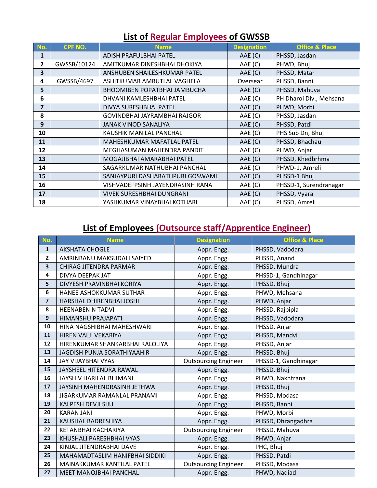| No.                     | <b>CPF NO.</b>                         | <b>Name</b>                         | <b>Designation</b> | <b>Office &amp; Place</b> |
|-------------------------|----------------------------------------|-------------------------------------|--------------------|---------------------------|
| 1                       |                                        | ADISH PRAFULBHAI PATEL              | AAE (C)            | PHSSD, Jasdan             |
| $\mathbf{2}$            | GWSSB/10124                            | AMITKUMAR DINESHBHAI DHOKIYA        | AAE (C)            | PHWD, Bhuj                |
| 3                       |                                        | ANSHUBEN SHAILESHKUMAR PATEL        | AAE (C)            | PHSSD, Matar              |
| 4                       | GWSSB/4697                             | ASHITKUMAR AMRUTLAL VAGHELA         | Oversear           | PHSSD, Banni              |
| 5                       |                                        | <b>BHOOMIBEN POPATBHAI JAMBUCHA</b> | AAE (C)            | PHSSD, Mahuva             |
| 6                       |                                        | DHVANI KAMLESHBHAI PATEL            | AAE (C)            | PH Dharoi Div., Mehsana   |
| $\overline{\mathbf{z}}$ |                                        | DIVYA SURESHBHAI PATEL              | AAE (C)            | PHWD, Morbi               |
| 8                       |                                        | GOVINDBHAI JAYRAMBHAI RAJGOR        | AAE (C)            | PHSSD, Jasdan             |
| 9                       |                                        | <b>JANAK VINOD SANALIYA</b>         | AAE (C)            | PHSSD, Patdi              |
| 10                      |                                        | KAUSHIK MANILAL PANCHAL             | AAE (C)            | PHS Sub Dn, Bhuj          |
| 11                      |                                        | MAHESHKUMAR MAFATLAL PATEL          | AAE (C)            | PHSSD, Bhachau            |
| 12                      |                                        | MEGHASUMAN MAHENDRA PANDIT          |                    | PHWD, Anjar               |
| 13                      | MOGAJIBHAI AMARABHAI PATEL             |                                     | AAE(C)             | PHSSD, Khedbrhma          |
| 14                      | SAGARKUMAR NATHUBHAI PANCHAL           |                                     | AAE (C)            | PHWD-1, Amreli            |
| 15                      |                                        | SANJAYPURI DASHARATHPURI GOSWAMI    | AAE (C)            | PHSSD-1 Bhuj              |
| 16                      |                                        | VISHVADEFPSINH JAYENDRASINH RANA    | AAE (C)            | PHSSD-1, Surendranagar    |
| 17                      | <b>VIVEK SURESHBHAI DUNGRANI</b>       |                                     | AAE (C)            | PHSSD, Vyara              |
| 18                      | AAE (C)<br>YASHKUMAR VINAYBHAI KOTHARI |                                     | PHSSD, Amreli      |                           |

#### **List of Regular Employees of GWSSB**

## **List of Employees (Outsource staff/Apprentice Engineer)**

| No.                     | <b>Name</b>                        | <b>Designation</b>          | <b>Office &amp; Place</b> |
|-------------------------|------------------------------------|-----------------------------|---------------------------|
| $\mathbf{1}$            | <b>AKSHATA CHOGLE</b>              | Appr. Engg.                 | PHSSD, Vadodara           |
| $\mathbf{2}$            | AMRINBANU MAKSUDALI SAIYED         | Appr. Engg.                 | PHSSD, Anand              |
| 3                       | CHIRAG JITENDRA PARMAR             | Appr. Engg.                 | PHSSD, Mundra             |
| 4                       | DIVYA DEEPAK JAT                   | Appr. Engg.                 | PHSSD-1, Gandhinagar      |
| 5                       | DIVYESH PRAVINBHAI KORIYA          | Appr. Engg.                 | PHSSD, Bhuj               |
| 6                       | HANEE ASHOKKUMAR SUTHAR            | Appr. Engg.                 | PHWD, Mehsana             |
| $\overline{\mathbf{z}}$ | HARSHAL DHIRENBHAI JOSHI           | Appr. Engg.                 | PHWD, Anjar               |
| 8                       | <b>HEENABEN N TADVI</b>            | Appr. Engg.                 | PHSSD, Rajpipla           |
| 9                       | <b>HIMANSHU PRAJAPATI</b>          | Appr. Engg.                 | PHSSD, Vadodara           |
| 10                      | HINA NAGSHIBHAI MAHESHWARI         | Appr. Engg.                 | PHSSD, Anjar              |
| 11                      | HIREN VALJI VEKARIYA               | Appr. Engg.                 | PHSSD, Mandvi             |
| 12                      | HIRENKUMAR SHANKARBHAI RALOLIYA    | Appr. Engg.                 | PHSSD, Anjar              |
| 13                      | <b>JAGDISH PUNJA SORATHIYAAHIR</b> | Appr. Engg.                 | PHSSD, Bhuj               |
| 14                      | <b>JAY VIJAYBHAI VYAS</b>          | <b>Outsourcing Engineer</b> | PHSSD-1, Gandhinagar      |
| 15                      | JAYSHEEL HITENDRA RAWAL            | Appr. Engg.                 | PHSSD, Bhuj               |
| 16                      | JAYSHIV HARILAL BHIMANI            | Appr. Engg.                 | PHWD, Nakhtrana           |
| 17                      | JAYSINH MAHENDRASINH JETHWA        | Appr. Engg.                 | PHSSD, Bhuj               |
| 18                      | JIGARKUMAR RAMANLAL PRANAMI        | Appr. Engg.                 | PHSSD, Modasa             |
| 19                      | KALPESH DEVJI SIJU                 | Appr. Engg.                 | PHSSD, Banni              |
| 20                      | <b>KARAN JANI</b>                  | Appr. Engg.                 | PHWD, Morbi               |
| 21                      | KAUSHAL BADRESHIYA                 | Appr. Engg.                 | PHSSD, Dhrangadhra        |
| 22                      | KETANBHAI KACHARIYA                | <b>Outsourcing Engineer</b> | PHSSD, Mahuva             |
| 23                      | KHUSHALI PARESHBHAI VYAS           | Appr. Engg.                 | PHWD, Anjar               |
| 24                      | KINJAL JITENDRABHAI DAVE           | Appr. Engg.                 | PHC, Bhuj                 |
| 25                      | MAHAMADTASLIM HANIFBHAI SIDDIKI    | Appr. Engg.                 | PHSSD, Patdi              |
| 26                      | MAINAKKUMAR KANTILAL PATEL         | <b>Outsourcing Engineer</b> | PHSSD, Modasa             |
| 27                      | <b>MEET MANOJBHAI PANCHAL</b>      | Appr. Engg.                 | PHWD, Nadiad              |